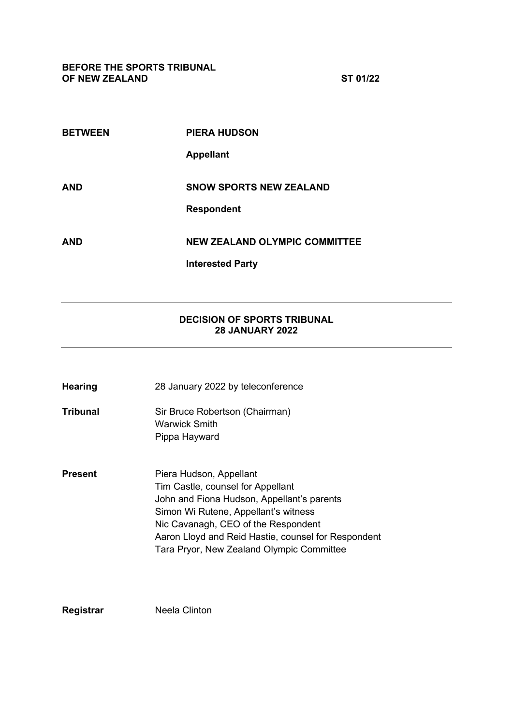| <b>BETWEEN</b> | <b>PIERA HUDSON</b>                  |
|----------------|--------------------------------------|
|                | <b>Appellant</b>                     |
| AND            | <b>SNOW SPORTS NEW ZEALAND</b>       |
|                | <b>Respondent</b>                    |
| <b>AND</b>     | <b>NEW ZEALAND OLYMPIC COMMITTEE</b> |
|                | <b>Interested Party</b>              |

## **DECISION OF SPORTS TRIBUNAL 28 JANUARY 2022**

- **Hearing** 28 January 2022 by teleconference
- **Tribunal** Sir Bruce Robertson (Chairman) Warwick Smith Pippa Hayward
- **Present** Piera Hudson, Appellant Tim Castle, counsel for Appellant John and Fiona Hudson, Appellant's parents Simon Wi Rutene, Appellant's witness Nic Cavanagh, CEO of the Respondent Aaron Lloyd and Reid Hastie, counsel for Respondent Tara Pryor, New Zealand Olympic Committee

**Registrar** Neela Clinton